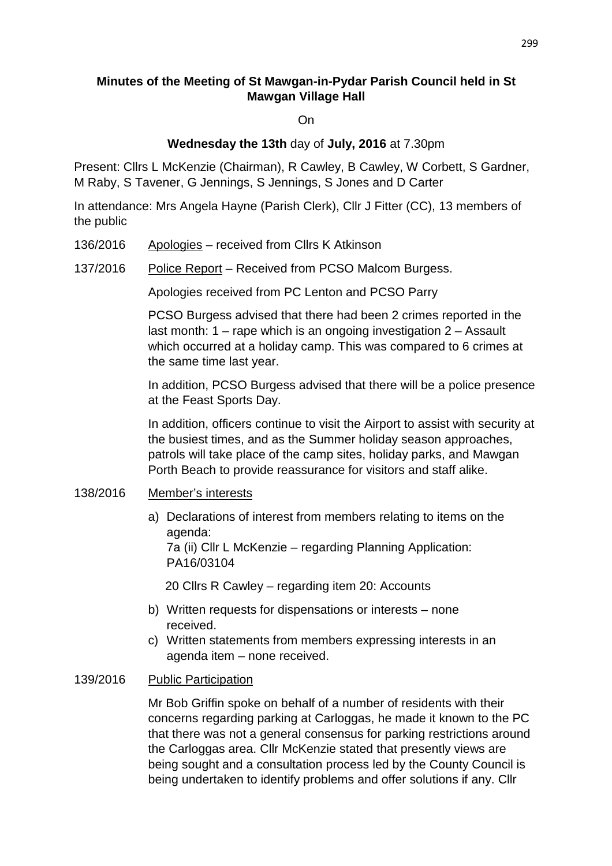# **Minutes of the Meeting of St Mawgan-in-Pydar Parish Council held in St Mawgan Village Hall**

On

### **Wednesday the 13th** day of **July, 2016** at 7.30pm

Present: Cllrs L McKenzie (Chairman), R Cawley, B Cawley, W Corbett, S Gardner, M Raby, S Tavener, G Jennings, S Jennings, S Jones and D Carter

In attendance: Mrs Angela Hayne (Parish Clerk), Cllr J Fitter (CC), 13 members of the public

- 136/2016 Apologies received from Cllrs K Atkinson
- 137/2016 Police Report Received from PCSO Malcom Burgess.

Apologies received from PC Lenton and PCSO Parry

PCSO Burgess advised that there had been 2 crimes reported in the last month: 1 – rape which is an ongoing investigation 2 – Assault which occurred at a holiday camp. This was compared to 6 crimes at the same time last year.

 In addition, PCSO Burgess advised that there will be a police presence at the Feast Sports Day.

In addition, officers continue to visit the Airport to assist with security at the busiest times, and as the Summer holiday season approaches, patrols will take place of the camp sites, holiday parks, and Mawgan Porth Beach to provide reassurance for visitors and staff alike.

### 138/2016 Member's interests

a) Declarations of interest from members relating to items on the agenda:

7a (ii) Cllr L McKenzie – regarding Planning Application: PA16/03104

20 Cllrs R Cawley – regarding item 20: Accounts

- b) Written requests for dispensations or interests none received.
- c) Written statements from members expressing interests in an agenda item – none received.

### 139/2016 Public Participation

Mr Bob Griffin spoke on behalf of a number of residents with their concerns regarding parking at Carloggas, he made it known to the PC that there was not a general consensus for parking restrictions around the Carloggas area. Cllr McKenzie stated that presently views are being sought and a consultation process led by the County Council is being undertaken to identify problems and offer solutions if any. Cllr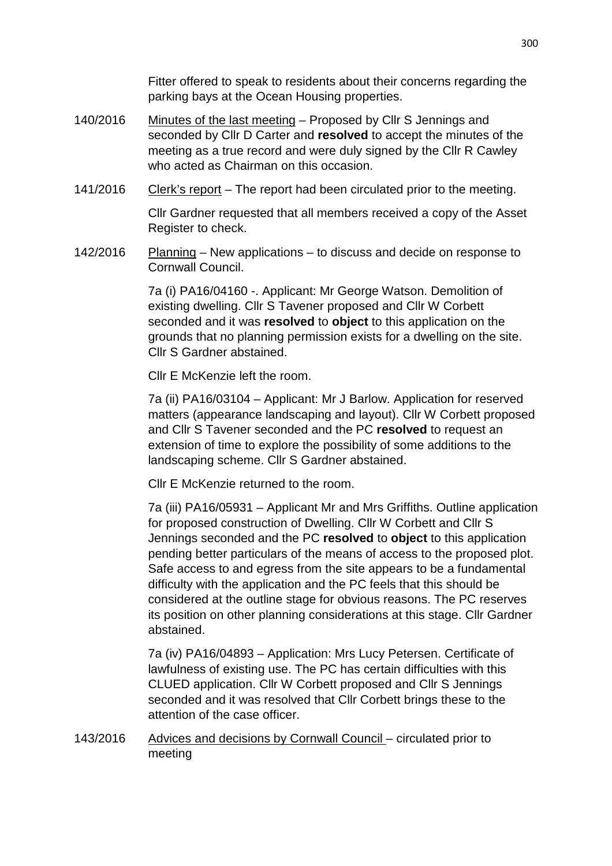Fitter offered to speak to residents about their concerns regarding the parking bays at the Ocean Housing properties.

- 140/2016 Minutes of the last meeting Proposed by Cllr S Jennings and seconded by Cllr D Carter and **resolved** to accept the minutes of the meeting as a true record and were duly signed by the Cllr R Cawley who acted as Chairman on this occasion.
- 141/2016 Clerk's report The report had been circulated prior to the meeting.

 Cllr Gardner requested that all members received a copy of the Asset Register to check.

142/2016 Planning – New applications – to discuss and decide on response to Cornwall Council.

> 7a (i) PA16/04160 -. Applicant: Mr George Watson. Demolition of existing dwelling. Cllr S Tavener proposed and Cllr W Corbett seconded and it was **resolved** to **object** to this application on the grounds that no planning permission exists for a dwelling on the site. Cllr S Gardner abstained.

Cllr E McKenzie left the room.

 7a (ii) PA16/03104 – Applicant: Mr J Barlow. Application for reserved matters (appearance landscaping and layout). Cllr W Corbett proposed and Cllr S Tavener seconded and the PC **resolved** to request an extension of time to explore the possibility of some additions to the landscaping scheme. Cllr S Gardner abstained.

Cllr E McKenzie returned to the room.

 7a (iii) PA16/05931 – Applicant Mr and Mrs Griffiths. Outline application for proposed construction of Dwelling. Cllr W Corbett and Cllr S Jennings seconded and the PC **resolved** to **object** to this application pending better particulars of the means of access to the proposed plot. Safe access to and egress from the site appears to be a fundamental difficulty with the application and the PC feels that this should be considered at the outline stage for obvious reasons. The PC reserves its position on other planning considerations at this stage. Cllr Gardner abstained.

7a (iv) PA16/04893 – Application: Mrs Lucy Petersen. Certificate of lawfulness of existing use. The PC has certain difficulties with this CLUED application. Cllr W Corbett proposed and Cllr S Jennings seconded and it was resolved that Cllr Corbett brings these to the attention of the case officer.

143/2016 Advices and decisions by Cornwall Council – circulated prior to meeting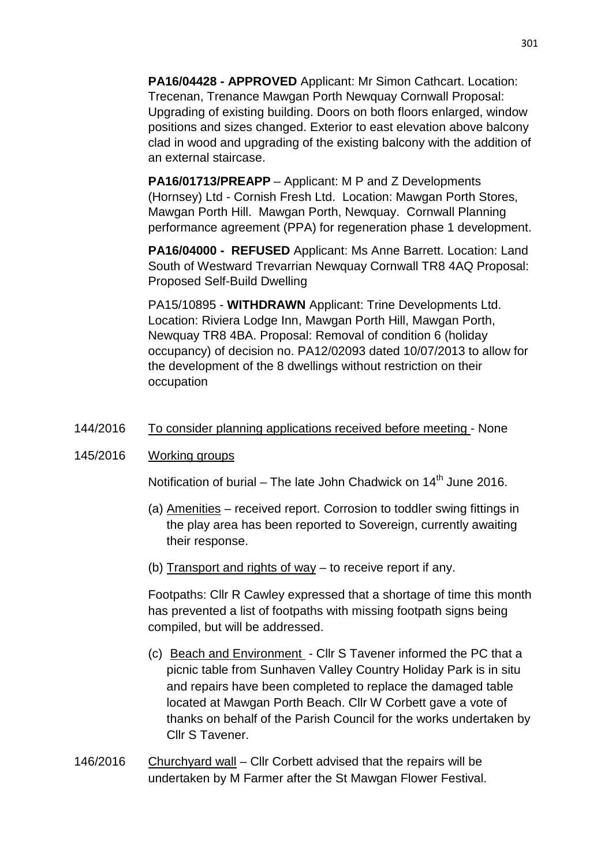**PA16/04428 - APPROVED** Applicant: Mr Simon Cathcart. Location: Trecenan, Trenance Mawgan Porth Newquay Cornwall Proposal: Upgrading of existing building. Doors on both floors enlarged, window positions and sizes changed. Exterior to east elevation above balcony clad in wood and upgrading of the existing balcony with the addition of an external staircase.

**PA16/01713/PREAPP** – Applicant: M P and Z Developments (Hornsey) Ltd - Cornish Fresh Ltd. Location: Mawgan Porth Stores, Mawgan Porth Hill. Mawgan Porth, Newquay. Cornwall Planning performance agreement (PPA) for regeneration phase 1 development.

**PA16/04000 - REFUSED** Applicant: Ms Anne Barrett. Location: Land South of Westward Trevarrian Newquay Cornwall TR8 4AQ Proposal: Proposed Self-Build Dwelling

PA15/10895 - **WITHDRAWN** Applicant: Trine Developments Ltd. Location: Riviera Lodge Inn, Mawgan Porth Hill, Mawgan Porth, Newquay TR8 4BA. Proposal: Removal of condition 6 (holiday occupancy) of decision no. PA12/02093 dated 10/07/2013 to allow for the development of the 8 dwellings without restriction on their occupation

144/2016 To consider planning applications received before meeting - None

### 145/2016 Working groups

Notification of burial – The late John Chadwick on  $14<sup>th</sup>$  June 2016.

- (a) Amenities received report. Corrosion to toddler swing fittings in the play area has been reported to Sovereign, currently awaiting their response.
- (b) Transport and rights of way to receive report if any.

Footpaths: Cllr R Cawley expressed that a shortage of time this month has prevented a list of footpaths with missing footpath signs being compiled, but will be addressed.

- (c) Beach and Environment Cllr S Tavener informed the PC that a picnic table from Sunhaven Valley Country Holiday Park is in situ and repairs have been completed to replace the damaged table located at Mawgan Porth Beach. Cllr W Corbett gave a vote of thanks on behalf of the Parish Council for the works undertaken by Cllr S Tavener.
- 146/2016 Churchyard wall Cllr Corbett advised that the repairs will be undertaken by M Farmer after the St Mawgan Flower Festival.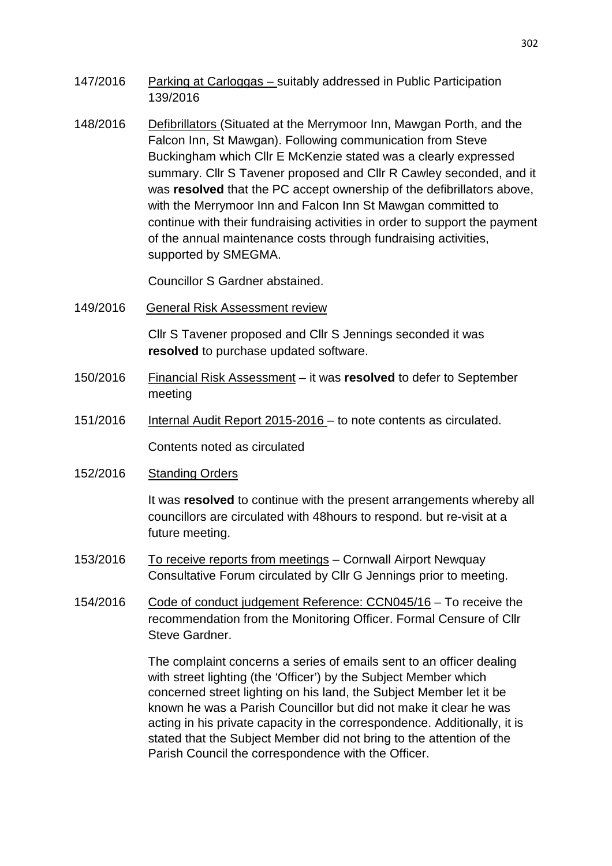- 147/2016 Parking at Carloggas suitably addressed in Public Participation 139/2016
- 148/2016 Defibrillators (Situated at the Merrymoor Inn, Mawgan Porth, and the Falcon Inn, St Mawgan). Following communication from Steve Buckingham which Cllr E McKenzie stated was a clearly expressed summary. Cllr S Tavener proposed and Cllr R Cawley seconded, and it was **resolved** that the PC accept ownership of the defibrillators above, with the Merrymoor Inn and Falcon Inn St Mawgan committed to continue with their fundraising activities in order to support the payment of the annual maintenance costs through fundraising activities, supported by SMEGMA.

Councillor S Gardner abstained.

149/2016 General Risk Assessment review

Cllr S Tavener proposed and Cllr S Jennings seconded it was **resolved** to purchase updated software.

- 150/2016 Financial Risk Assessment it was **resolved** to defer to September meeting
- 151/2016 Internal Audit Report 2015-2016 to note contents as circulated.

Contents noted as circulated

152/2016 Standing Orders

It was **resolved** to continue with the present arrangements whereby all councillors are circulated with 48hours to respond. but re-visit at a future meeting.

- 153/2016 To receive reports from meetings Cornwall Airport Newquay Consultative Forum circulated by Cllr G Jennings prior to meeting.
- 154/2016 Code of conduct judgement Reference: CCN045/16 To receive the recommendation from the Monitoring Officer. Formal Censure of Cllr Steve Gardner.

The complaint concerns a series of emails sent to an officer dealing with street lighting (the 'Officer') by the Subject Member which concerned street lighting on his land, the Subject Member let it be known he was a Parish Councillor but did not make it clear he was acting in his private capacity in the correspondence. Additionally, it is stated that the Subject Member did not bring to the attention of the Parish Council the correspondence with the Officer.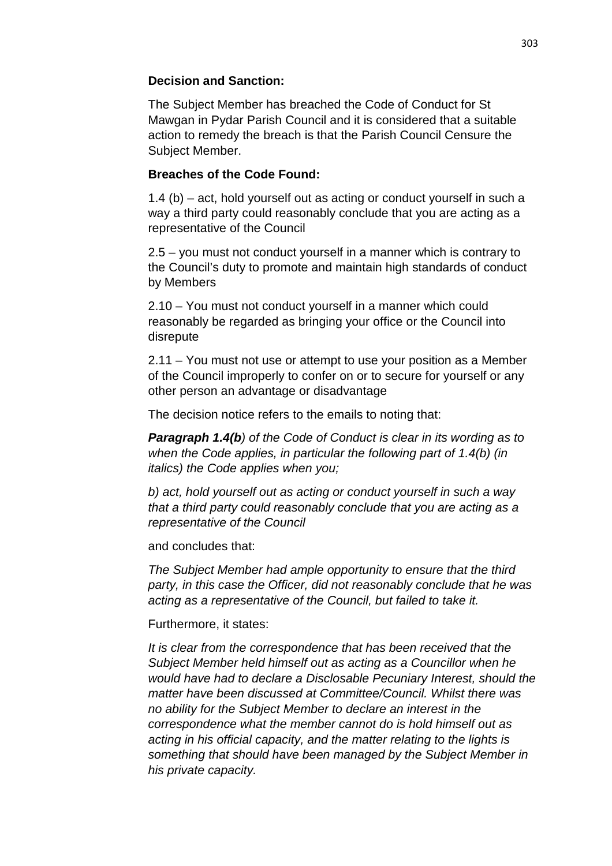# **Decision and Sanction:**

The Subject Member has breached the Code of Conduct for St Mawgan in Pydar Parish Council and it is considered that a suitable action to remedy the breach is that the Parish Council Censure the Subject Member.

# **Breaches of the Code Found:**

1.4 (b) – act, hold yourself out as acting or conduct yourself in such a way a third party could reasonably conclude that you are acting as a representative of the Council

2.5 – you must not conduct yourself in a manner which is contrary to the Council's duty to promote and maintain high standards of conduct by Members

2.10 – You must not conduct yourself in a manner which could reasonably be regarded as bringing your office or the Council into disrepute

2.11 – You must not use or attempt to use your position as a Member of the Council improperly to confer on or to secure for yourself or any other person an advantage or disadvantage

The decision notice refers to the emails to noting that:

**Paragraph 1.4(b)** of the Code of Conduct is clear in its wording as to when the Code applies, in particular the following part of 1.4(b) (in italics) the Code applies when you;

b) act, hold yourself out as acting or conduct yourself in such a way that a third party could reasonably conclude that you are acting as a representative of the Council

and concludes that:

The Subject Member had ample opportunity to ensure that the third party, in this case the Officer, did not reasonably conclude that he was acting as a representative of the Council, but failed to take it.

Furthermore, it states:

It is clear from the correspondence that has been received that the Subject Member held himself out as acting as a Councillor when he would have had to declare a Disclosable Pecuniary Interest, should the matter have been discussed at Committee/Council. Whilst there was no ability for the Subject Member to declare an interest in the correspondence what the member cannot do is hold himself out as acting in his official capacity, and the matter relating to the lights is something that should have been managed by the Subject Member in his private capacity.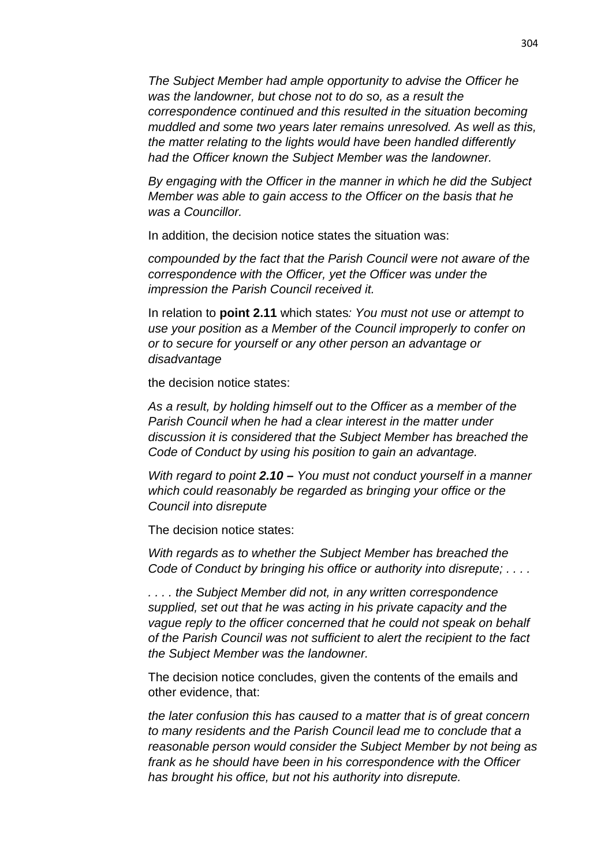The Subject Member had ample opportunity to advise the Officer he was the landowner, but chose not to do so, as a result the correspondence continued and this resulted in the situation becoming muddled and some two years later remains unresolved. As well as this, the matter relating to the lights would have been handled differently had the Officer known the Subject Member was the landowner.

By engaging with the Officer in the manner in which he did the Subject Member was able to gain access to the Officer on the basis that he was a Councillor.

In addition, the decision notice states the situation was:

compounded by the fact that the Parish Council were not aware of the correspondence with the Officer, yet the Officer was under the impression the Parish Council received it.

In relation to **point 2.11** which states: You must not use or attempt to use your position as a Member of the Council improperly to confer on or to secure for yourself or any other person an advantage or disadvantage

the decision notice states:

As a result, by holding himself out to the Officer as a member of the Parish Council when he had a clear interest in the matter under discussion it is considered that the Subject Member has breached the Code of Conduct by using his position to gain an advantage.

With regard to point **2.10 –** You must not conduct vourself in a manner which could reasonably be regarded as bringing your office or the Council into disrepute

The decision notice states:

With regards as to whether the Subject Member has breached the Code of Conduct by bringing his office or authority into disrepute; . . . .

. . . . the Subject Member did not, in any written correspondence supplied, set out that he was acting in his private capacity and the vague reply to the officer concerned that he could not speak on behalf of the Parish Council was not sufficient to alert the recipient to the fact the Subject Member was the landowner.

The decision notice concludes, given the contents of the emails and other evidence, that:

the later confusion this has caused to a matter that is of great concern to many residents and the Parish Council lead me to conclude that a reasonable person would consider the Subject Member by not being as frank as he should have been in his correspondence with the Officer has brought his office, but not his authority into disrepute.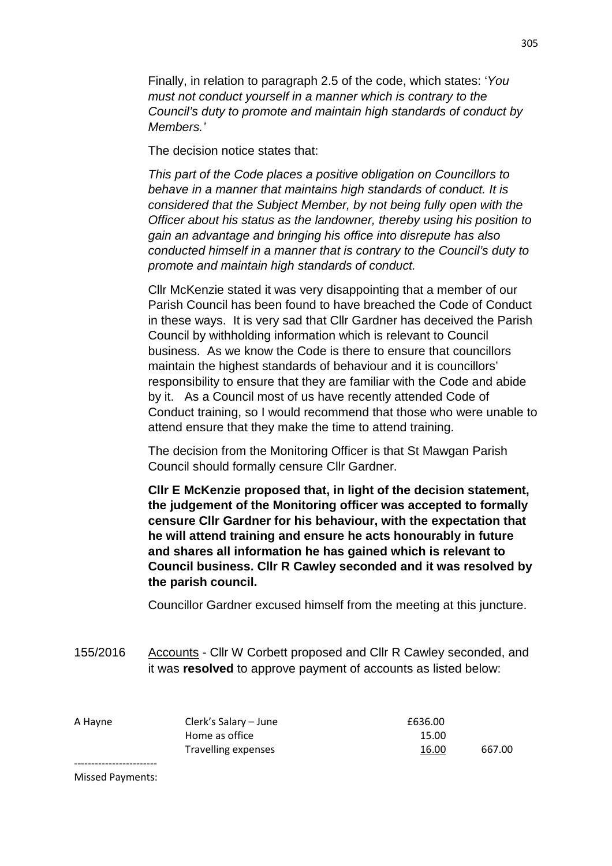Finally, in relation to paragraph 2.5 of the code, which states: 'You must not conduct yourself in a manner which is contrary to the Council's duty to promote and maintain high standards of conduct by Members.'

The decision notice states that:

This part of the Code places a positive obligation on Councillors to behave in a manner that maintains high standards of conduct. It is considered that the Subject Member, by not being fully open with the Officer about his status as the landowner, thereby using his position to gain an advantage and bringing his office into disrepute has also conducted himself in a manner that is contrary to the Council's duty to promote and maintain high standards of conduct.

Cllr McKenzie stated it was very disappointing that a member of our Parish Council has been found to have breached the Code of Conduct in these ways. It is very sad that Cllr Gardner has deceived the Parish Council by withholding information which is relevant to Council business. As we know the Code is there to ensure that councillors maintain the highest standards of behaviour and it is councillors' responsibility to ensure that they are familiar with the Code and abide by it. As a Council most of us have recently attended Code of Conduct training, so I would recommend that those who were unable to attend ensure that they make the time to attend training.

The decision from the Monitoring Officer is that St Mawgan Parish Council should formally censure Cllr Gardner.

**Cllr E McKenzie proposed that, in light of the decision statement, the judgement of the Monitoring officer was accepted to formally censure Cllr Gardner for his behaviour, with the expectation that he will attend training and ensure he acts honourably in future and shares all information he has gained which is relevant to Council business. Cllr R Cawley seconded and it was resolved by the parish council.** 

Councillor Gardner excused himself from the meeting at this juncture.

155/2016 Accounts - Cllr W Corbett proposed and Cllr R Cawley seconded, and it was **resolved** to approve payment of accounts as listed below:

| A Hayne | Clerk's Salary – June | £636.00 |        |
|---------|-----------------------|---------|--------|
|         | Home as office        | 15.00   |        |
|         | Travelling expenses   | 16.00   | 667.00 |
|         |                       |         |        |

Missed Payments: